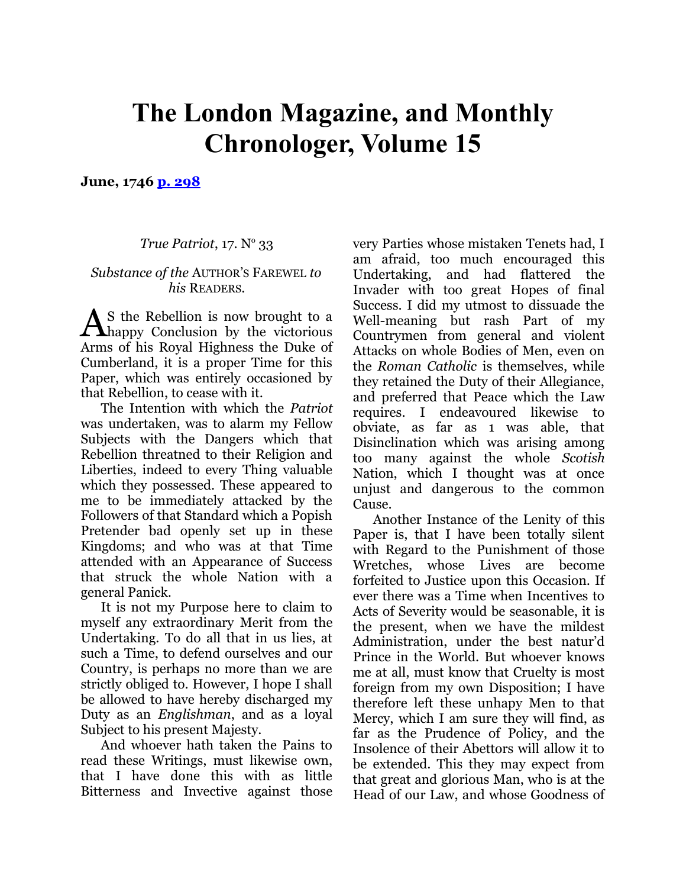## **The London Magazine, and Monthly Chronologer, Volume 15**

**June, 1746 [p. 298](https://books.google.com/books?id=Fk0DAAAAMAAJ&pg=PA298#v=onepage&q&f=false)**

## True Patriot, 17. Nº 33

## *Substance of the* AUTHOR'S FAREWEL *to his* READERS.

S the Rebellion is now brought to a As the Rebellion is now brought to a<br>
happy Conclusion by the victorious Arms of his Royal Highness the Duke of Cumberland, it is a proper Time for this Paper, which was entirely occasioned by that Rebellion, to cease with it.

The Intention with which the *Patriot* was undertaken, was to alarm my Fellow Subjects with the Dangers which that Rebellion threatned to their Religion and Liberties, indeed to every Thing valuable which they possessed. These appeared to me to be immediately attacked by the Followers of that Standard which a Popish Pretender bad openly set up in these Kingdoms; and who was at that Time attended with an Appearance of Success that struck the whole Nation with a general Panick.

It is not my Purpose here to claim to myself any extraordinary Merit from the Undertaking. To do all that in us lies, at such a Time, to defend ourselves and our Country, is perhaps no more than we are strictly obliged to. However, I hope I shall be allowed to have hereby discharged my Duty as an *Englishman*, and as a loyal Subject to his present Majesty.

And whoever hath taken the Pains to read these Writings, must likewise own, that I have done this with as little Bitterness and Invective against those very Parties whose mistaken Tenets had, I am afraid, too much encouraged this Undertaking, and had flattered the Invader with too great Hopes of final Success. I did my utmost to dissuade the Well-meaning but rash Part of my Countrymen from general and violent Attacks on whole Bodies of Men, even on the *Roman Catholic* is themselves, while they retained the Duty of their Allegiance, and preferred that Peace which the Law requires. I endeavoured likewise to obviate, as far as 1 was able, that Disinclination which was arising among too many against the whole *Scotish* Nation, which I thought was at once unjust and dangerous to the common Cause.

Another Instance of the Lenity of this Paper is, that I have been totally silent with Regard to the Punishment of those Wretches, whose Lives are become forfeited to Justice upon this Occasion. If ever there was a Time when Incentives to Acts of Severity would be seasonable, it is the present, when we have the mildest Administration, under the best natur'd Prince in the World. But whoever knows me at all, must know that Cruelty is most foreign from my own Disposition; I have therefore left these unhapy Men to that Mercy, which I am sure they will find, as far as the Prudence of Policy, and the Insolence of their Abettors will allow it to be extended. This they may expect from that great and glorious Man, who is at the Head of our Law, and whose Goodness of